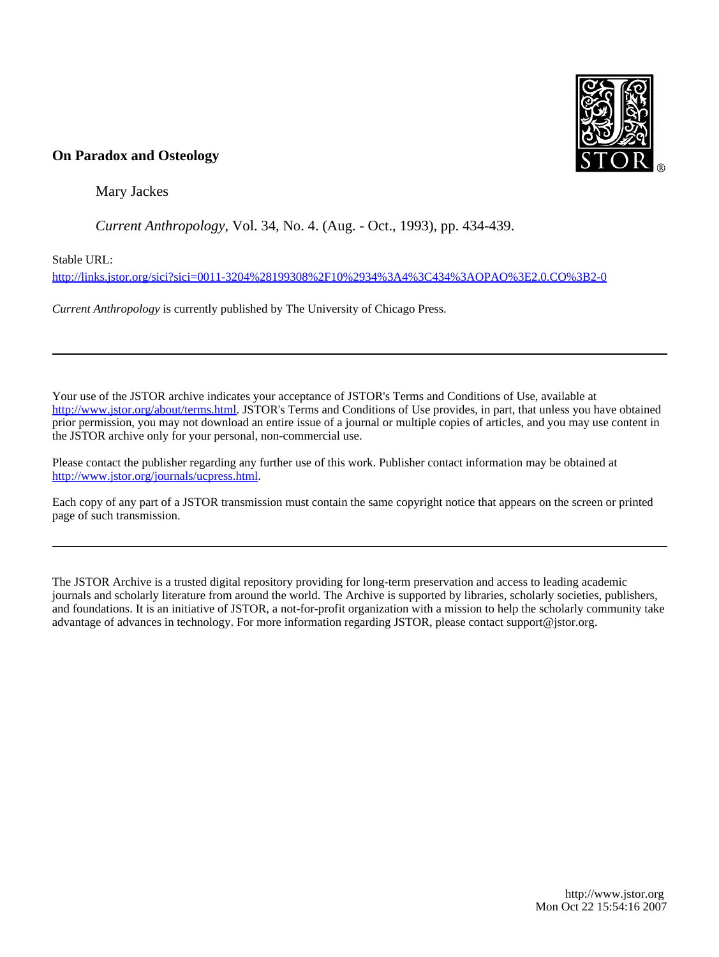

### **On Paradox and Osteology**

Mary Jackes

*Current Anthropology*, Vol. 34, No. 4. (Aug. - Oct., 1993), pp. 434-439.

Stable URL:

<http://links.jstor.org/sici?sici=0011-3204%28199308%2F10%2934%3A4%3C434%3AOPAO%3E2.0.CO%3B2-0>

*Current Anthropology* is currently published by The University of Chicago Press.

Your use of the JSTOR archive indicates your acceptance of JSTOR's Terms and Conditions of Use, available at [http://www.jstor.org/about/terms.html.](http://www.jstor.org/about/terms.html) JSTOR's Terms and Conditions of Use provides, in part, that unless you have obtained prior permission, you may not download an entire issue of a journal or multiple copies of articles, and you may use content in the JSTOR archive only for your personal, non-commercial use.

Please contact the publisher regarding any further use of this work. Publisher contact information may be obtained at <http://www.jstor.org/journals/ucpress.html>.

Each copy of any part of a JSTOR transmission must contain the same copyright notice that appears on the screen or printed page of such transmission.

The JSTOR Archive is a trusted digital repository providing for long-term preservation and access to leading academic journals and scholarly literature from around the world. The Archive is supported by libraries, scholarly societies, publishers, and foundations. It is an initiative of JSTOR, a not-for-profit organization with a mission to help the scholarly community take advantage of advances in technology. For more information regarding JSTOR, please contact support@jstor.org.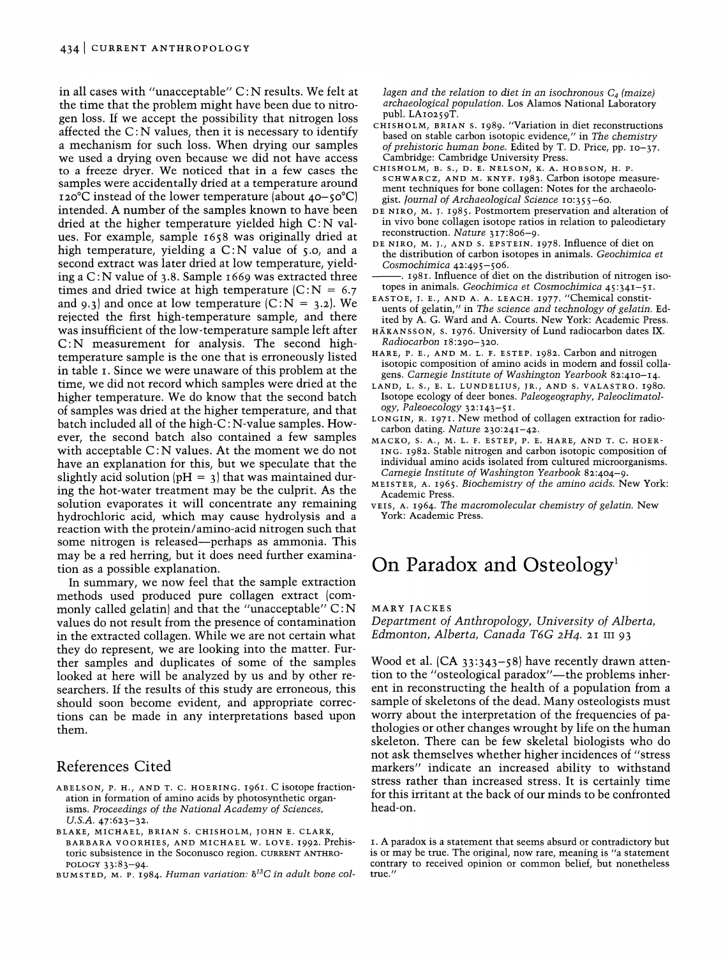in all cases with "unacceptable"  $C: N$  results. We felt at the time that the problem might have been due to nitrogen loss. If we accept the possibility that nitrogen loss affected the  $C: N$  values, then it is necessary to identify a mechanism for such loss. When drying our samples we used a drying oven because we did not have access to a freeze dryer. We noticed that in a few cases the samples were accidentally dried at a temperature around 120°C instead of the lower temperature (about 40-50°C) intended. **A** number of the samples known to have been dried at the higher temperature yielded high C: N values. For example, sample 1658 was originally dried at high temperature, yielding a  $C: N$  value of 5.0, and a second extract was later dried at low temperature, yielding a  $C: N$  value of 3.8. Sample 1669 was extracted three times and dried twice at high temperature  $|C:N = 6.7|$ and 9.3) and once at low temperature  $(C:N = 3.2)$ . We rejected the first high-temperature sample, and there was insufficient of the low-temperature sample left after C:N measurement for analysis. The second hightemperature sample is the one that is erroneously listed in table I. Since we were unaware of this problem at the time, we did not record which samples were dried at the higher temperature. We do know that the second batch of samples was dried at the higher temperature, and that batch included all of the high-C : N-value samples. However, the second batch also contained a few samples with acceptable  $C: N$  values. At the moment we do not have an explanation for this, but we speculate that the slightly acid solution  $pH = 3$  that was maintained during the hot-water treatment may be the culprit. As the solution evaporates it will concentrate any remaining hydrochloric acid, which may cause hydrolysis and a reaction with the protein/amino-acid nitrogen such that some nitrogen is released—perhaps as ammonia. This may be a red herring, but it does need further examination as a possible explanation.

In summary, we now feel that the sample extraction methods used produced pure collagen extract (commonly called gelatin) and that the "unacceptable"  $C: N$ values do not result from the presence of contamination in the extracted collagen. While we are not certain what they do represent, we are looking into the matter. Further samples and duplicates of some of the samples looked at here will be analyzed by us and by other researchers. If the results of this study are erroneous, this should soon become evident, and appropriate corrections can be made in any interpretations based upon them.

#### References Cited

- ABELSON, P. H., AND T. C. HOERING. *1961. C isotope fractionation in formation of amino acids by photosynthetic organisms. Proceedings of the National Academy of Sciences, U.S.A. 47:623-32.*
- BLAKE, MICHAEL, BRIAN S. CHISHOLM, JOHN E. CLARK, BARBARA VOORHIES, AND MICHAEL W. LOVE. *1992. Prehistoric subsistence in the Soconusco region.* CURRENT ANTHRO-POLOGY *33:83-94.*
- BUMSTED, M. **P.** *1984. Human variation: 6I3C in adult bone col-*

*lagen and the relation to diet in an isochronous*  $C_4$  *(maize) archaeological population. Los Alamos National Laboratory publ. LA1o259T.* 

- CHISHOLM, BRIAN S. *1989. "Variation in diet reconstructions based on stable carbon isotopic evidence," in The chemistry of prehistoric human bone. Edited by T. D. Price, pp. 10-37. Cambridge: Cambridge University Press.*
- CHISHOLM, B. *S.,* D. E. NELSON, K. **A.** HOBSON, H. P. SCHWARCZ, AND M. KNYF. *1983. Carbon isotope measure ment techniques for bone collagen: Notes for the archaeolo gist. Journal of Archaeological Science 10:355-60.*
- DE NIRO, M. J. *1985 Postmortem preservation and alteration of in vivo bone collagen isotope ratios in relation to paleodietary reconstruction. Nature 317:806-9.*
- DE NIRO, M. J., AND S. EPSTEIN. *1978. Influence of diet on the distribution of carbon isotopes in animals. Geochimica et Cosmochimica 42:495 -506.*
- -. *1981. Influence of diet on the distribution of nitrogen isotopes in animals. Geochimica et Cosmochimica 45:341-5 I.*
- EASTOE, J. E., AND A. A. LEACH. *1977. "Chemical constituents of gelatin," in The science and technology of gelatin. Edited by A. G. Ward and A. Courts. New York: Academic Press.*
- HAKANSSON, S. *1976. University of Lund radiocarbon dates IX. Radiocarbon 18:290-320.*
- HARE, P. E., AND M. L. F. ESTEP. 1982. Carbon and nitrogen *isotopic composition of amino acids in modem and fossil collagens. Carnegie Institute of Washington Yearbook 82:410-14.*
- LAND, L. S., E. L. LUNDELIUS, JR., AND S. VALASTRO. *1980. Isotope ecology of deer bones. Paleogeography, Paleoclimatology, Paleoecology 3x143-5 I.*
- LONGIN, R. *1971. New method of collagen extraction for radiocarbon dating. Nature 230:241-42.*
- MACKO, S. A., M. L. F. ESTEP, P. E. HARE, AND T. C. HOER-ING. *1982. Stable nitrogen and carbon isotopic composition of individual amino acids isolated from cultured microorganisms. Carnegie Institute of Washington Yearbook 82:404-9.*
- MEISTER, A. *1965. Biochemistry of the amino acids. New York: Academic Press.*
- VEIS, A. *1964. The macromolecular chemistry of gelatin. New York: Academic Press.*

## On Paradox and Osteology<sup>1</sup>

MARY JACKES

*Department of Anthropology, University of Alberta, Edmonton, Alberta, Canada T6G* 2H4.ZI **111** 93

Wood et al. (CA 33:343-58) have recently drawn attention to the "osteological paradox"—the problems inherent in reconstructing the health of a population from a sample of skeletons of the dead. Many osteologists must worry about the interpretation of the frequencies of pathologies or other changes wrought by life on the human skeleton. There can be few skeletal biologists who do not ask themselves whether higher incidences of "stress markers" indicate an increased ability to withstand stress rather than increased stress. It is certainly time for this irritant at the back of our minds to be confronted head-on.

*I. A paradox is a statement that seems absurd or contradictory but is or may be true. The original, now rare, meaning is "a statement contrary to received opinion or common belief, but nonetheless true."*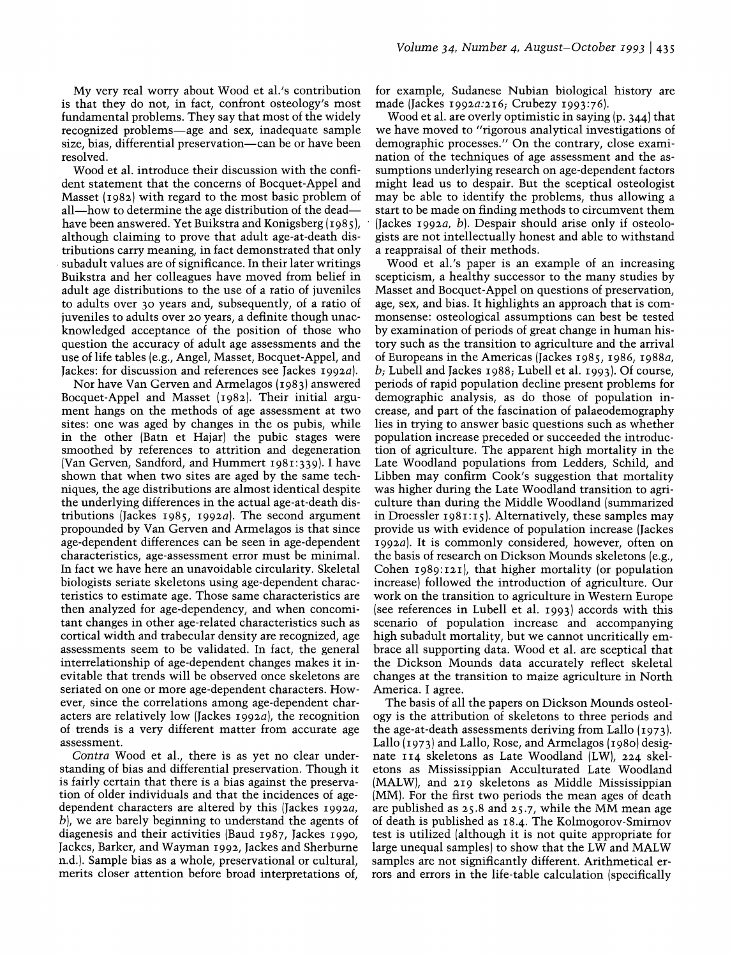My very real worry about Wood et al.'s contribution is that they do not, in fact, confront osteology's most fundamental problems. They say that most of the widely recognized problems-age and sex, inadequate sample size, bias, differential preservation—can be or have been resolved.

Wood et al. introduce their discussion with the confident statement that the concerns of Bocquet-Appel and Masset (1982) with regard to the most basic problem of all—how to determine the age distribution of the dead have been answered. Yet Buikstra and Konigsberg (1985), although claiming to prove that adult age-at-death distributions carry meaning, in fact demonstrated that only subadult values are of significance. In their later writings Buikstra and her colleagues have moved from belief in adult age distributions to the use of a ratio of juveniles to adults over 30 years and, subsequently, of a ratio of juveniles to adults over 20 years, a definite though unacknowledged acceptance of the position of those who question the accuracy of adult age assessments and the use of life tables (e.g., Angel, Masset, Bocquet-Appel, and Jackes: for discussion and references see Jackes 1992 $a$ ).

Nor have Van Gerven and Armelagos (I98 3) answered Bocquet-Appel and Masset (1982). Their initial argument hangs on the methods of age assessment at two sites: one was aged by changes in the os pubis, while in the other (Batn et Hajar) the pubic stages were smoothed by references to attrition and degeneration (Van Gerven, Sandford, and Hummert 1981:339). I have shown that when two sites are aged by the same techniques, the age distributions are almost identical despite the underlying differences in the actual age-at-death distributions (Jackes 1985, 1992a). The second argument propounded by Van Gerven and Armelagos is that since age-dependent differences can be seen in age-dependent characteristics, age-assessment error must be minimal. In fact we have here an unavoidable circularity. Skeletal biologists seriate skeletons using age-dependent characteristics to estimate age. Those same characteristics are then analyzed for age-dependency, and when concomitant changes in other age-related characteristics such as cortical width and trabecular density are recognized, age assessments seem to be validated. In fact, the general interrelationship of age-dependent changes makes it inevitable that trends will be observed once skeletons are seriated on one or more age-dependent characters. However, since the correlations among age-dependent characters are relatively low (Jackes  $1992a$ ), the recognition of trends is a very different matter from accurate age assessment.

Contra Wood et al., there is as yet no clear understanding of bias and differential preservation. Though it is fairly certain that there is a bias against the preservation of older individuals and that the incidences of agedependent characters are altered by this (Jackes  $1992a$ , b), we are barely beginning to understand the agents of diagenesis and their activities (Baud 1987, Jackes 1990, Jackes, Barker, and Wayman 1992, Jackes and Sherburne n.d.). Sample bias as a whole, preservational or cultural, merits closer attention before broad interpretations of,

for example, Sudanese Nubian biological history are made (Jackes 1992a:216; Crubezy 1993:76).

Wood et al. are overly optimistic in saying (p. 344) that we have moved to "rigorous analytical investigations of demographic processes." On the contrary, close examination of the techniques of age assessment and the assumptions underlying research on age-dependent factors might lead us to despair. But the sceptical osteologist may be able to identify the problems, thus allowing a start to be made on finding methods to circumvent them (Jackes  $1992a, b$ ). Despair should arise only if osteologists are not intellectually honest and able to withstand a reappraisal of their mehods.

Wood et al.'s paper is an example of an increasing scepticism, a healthy successor to the many studies by Masset and Bocquet-Appel on questions of preservation, age, sex, and bias. It highlights an approach that is commonsense: osteological assumptions can best be tested by examination of periods of great change in human history such as the transition to agriculture and the arrival of Europeans in the Americas (Jackes 1985, 1986, 1988a, b; Lubell and Jackes 1988; Lubell et al. 1993). Of course, periods of rapid population decline present problems for demographic analysis, as do those of population increase, and part of the fascination of palaeodemography lies in trying to answer basic questions such as whether population increase preceded or succeeded the introduction of agriculture. The apparent high mortality in the Late Woodland populations from Ledders, Schild, and Libben may confirm Cook's suggestion that mortality was higher during the Late Woodland transition to agriculture than during the Middle Woodland (summarized in Droessler  $1981:15$ . Alternatively, these samples may provide us with evidence of population increase (Jackes 1992 $a$ ). It is commonly considered, however, often on the basis of research on Dickson Mounds skeletons (e.g., Cohen 1989:121), that higher mortality (or population increase) followed the introduction of agriculture. Our work on the transition to agriculture in Western Europe (see references in Lubell et al. 1993) accords with this scenario of population increase and accompanying high subadult mortality, but we cannot uncritically embrace all supporting data. Wood et al. are sceptical that the Dickson Mounds data accuratelv reflect skeletal changes at the transition to maize agriculture in North America. I agree.

The basis of all the papers on Dickson Mounds osteology is the attribution of skeletons to three periods and the age-at-death assessments deriving from Lallo (1973). Lallo (1973) and Lallo, Rose, and Armelagos (1980) designate 114 skeletons as Late Woodland (LW), 224 skeletons as Mississippian Acculturated Late Woodland (MALW), and 219 skeletons as Middle Mississippian (MM). For the first two periods the mean ages of death are published as 25.8 and 25.7, while the MM mean age of death is published as 18.4. The Kolmogorov-Smirnov test is utilized (although it is not quite appropriate for large unequal samples) to show that the LW and MALW samples are not significantly different. Arithmetical errors and errors in the life-table calculation (specifically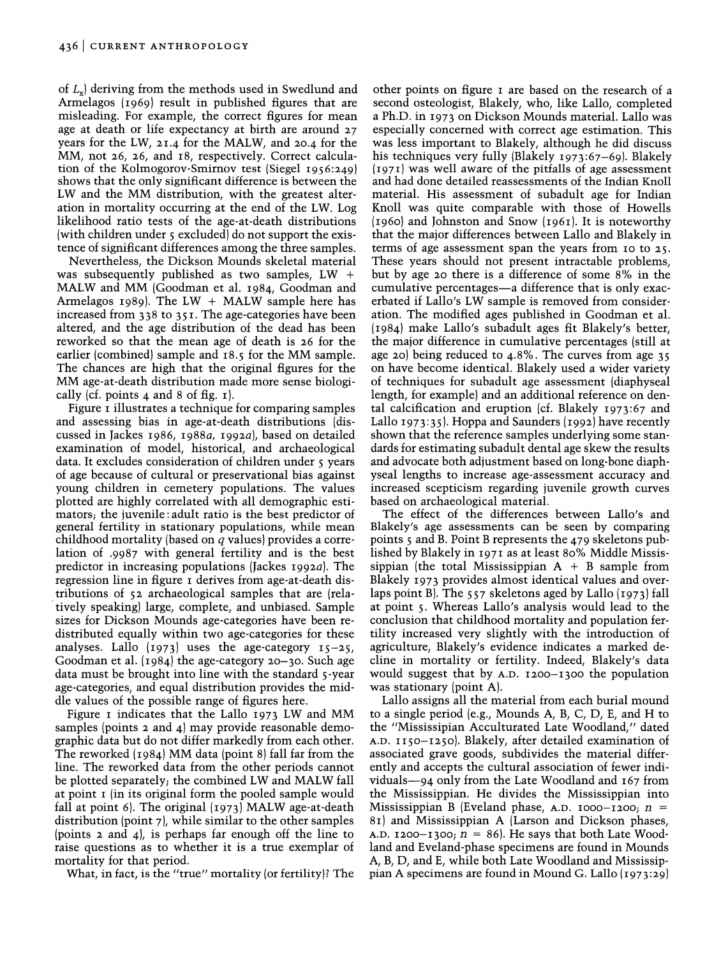of *L,)* deriving. from the methods used in Swedlund and Armelagos  $(1969)$  result in published figures that are misleading. For example, the correct figures for mean age at death or life expectancy at birth are around 27 years for the LW, 21.4 for the MALW, and 20.4 for the MM, not 26, 26, and 18, respectively. Correct calculation of the Kolmogorov-Smirnov test (Siegel 1956:249) shows that the only significant difference is between the LW and the MM distribution, with the greatest alteration in mortality occurring at the end of the LW. Log likelihood ratio tests of the age-at-death distributions (with children under 5 excluded) do not support the existence of significant differences among the three samples.

Nevertheless, the Dickson Mounds skeletal material was subsequently published as two samples,  $LW +$ MALW and MM (Goodman et al. 1984, Goodman and Armelagos 1989). The LW  $+$  MALW sample here has increased from 338 to 351. The age-categories have been altered, and the age distribution of the dead has been reworked so that the mean age of death is 26 for the earlier (combined) sample and 18.5 for the MM sample. The chances are high that the original figures for the MM age-at-death distribution made more sense biologically (cf. points 4 and 8 of fig.  $\mathbf{I}$ ).

Figure I illustrates a technique for comparing samples and assessing bias in age-at-death distributions (discussed in Jackes 1986, 1988a, 1992a), based on detailed examination of model, historical, and archaeological data. It excludes consideration of children under 5 years of age because of cultural or preservational bias against young children in cemetery populations. The values plotted are highly correlated with all demographic estimators; the juvenile : adult ratio is the best predictor of general fertility in stationary populations, while mean childhood mortality (based on *q* values) provides a correlation of .9987 with general fertility and is the best predictor in increasing populations (Jackes 1992a). The regression line in figure I derives from age-at-death distributions of 52 archaeological samples that are (relatively speaking) large, complete, and unbiased. Sample sizes for Dickson Mounds age-categories have been redistributed equally within two age-categories for these analyses. Lallo  $(1973)$  uses the age-category  $15-25$ , Goodman et al. (1984) the age-category 20–30. Such age data must be brought into line with the standard 5-year age-categories, and equal distribution provides the middle values of the possible range of figures here.

Figure I indicates that the Lallo 1973 LW and MM samples (points 2 and 4) may provide reasonable demographic data but do not differ markedly from each other. The reworked (1984) MM data (point 8) fall far from the line. The reworked data from the other periods cannot be plotted separately; the combined LW and MALW fall at point I (in its original form the pooled sample would fall at point 6). The original (1973) MALW age-at-death distribution (point 7), while similar to the other samples (points 2 and 4)) is perhaps far enough off the line to raise questions as to whether it is a true exemplar of mortality for that period.

What, in fact, is the "true" mortality (or fertility)? The

other points on figure I are based on the research of a second osteologist, Blakely, who, like Lallo, completed a Ph.D. in 1973 on Dickson Mounds material. Lallo was especially concerned with correct age estimation. This was less important to Blakely, although he did discuss his techniques very fully (Blakely 1973:67-69). Blakely (1971) was well aware of the pitfalls of age assessment and had done detailed reassessments of the Indian Knoll material. His assessment of subadult age for Indian Knoll was quite comparable with those of Howells (1960) and Johnston and Snow (1961). It is noteworthy that the maior differences between Lallo and Blakelv in terms of age assessment span the years from 10 to 25. These years should not present intractable problems,<br>but by age 20 there is a difference of some 8% in the cumulative percentages-a difference that is only exacerbated if Lallo's LW sample is removed from consideration. The modified ages published in Goodman et al. (1984) make Lallo's subadult ages fit Blakely's better, the major difference in cumulative percentages (still at age 20) being reduced to 4.8%. The curves from age 35 on have become identical. Blakely used a wider variety of techniques for subadult age assessment (diaphyseal length, for example) and an additional reference on dental calcification and eruption (cf. Blakely 1973:67 and Lallo 1973: 35). Hoppa and Saunders (1992) have recently shown that the reference samples underlying some standards for estimating subadult dental age skew the results and advocate both adjustment based on long-bone diaphyseal lengths to increase age-assessment accuracy and increased scepticism regarding juvenile growth curves based on archaeological material.

The effect of the differences between Lallo's and Blakely's age assessments can be seen by comparing points 5 and B. Point B represents the 479 skeletons published bv Blakelv in 1971 as at least 80% Middle Mississippian (the total Mississippian  $A + B$  sample from Blakely 1973 provides almost identical values and overlaps point B. The  $557$  skeletons aged by Lallo  $(1973)$  fall at point 5. Whereas Lallo's analysis would lead to the conclusion that childhood mortality and population fertility increased very slightly with the introduction of agriculture, Blakely's evidence indicates a marked decline in mortality or fertility. Indeed, Blakely's data would suggest that by A.D. 1200-1300 the population was stationary (point A).

Lallo assigns all the material from each burial mound to a single period (e.g., Mounds A, B, C, D, E, and H to the "Mississipian Acculturated Late Woodland," dated A.D. II50-1250). Blakely, after detailed examination of associated grave goods, subdivides the material differently and accepts the cultural association of fewer individuals-94 only from the Late Woodland and 167 from the Mississippian. He divides the Mississippian into Mississippian B (Eveland phase, A.D. 1000-1200;  $n =$ 81) and Mississippian A (Larson and Dickson phases, A.D. 1200-1300;  $n = 86$ . He says that both Late Woodland and Eveland-phase specimens are found in Mounds A, B, D, and E, while both Late Woodland and Mississippian A specimens are found in Mound G. Lallo (1973:29)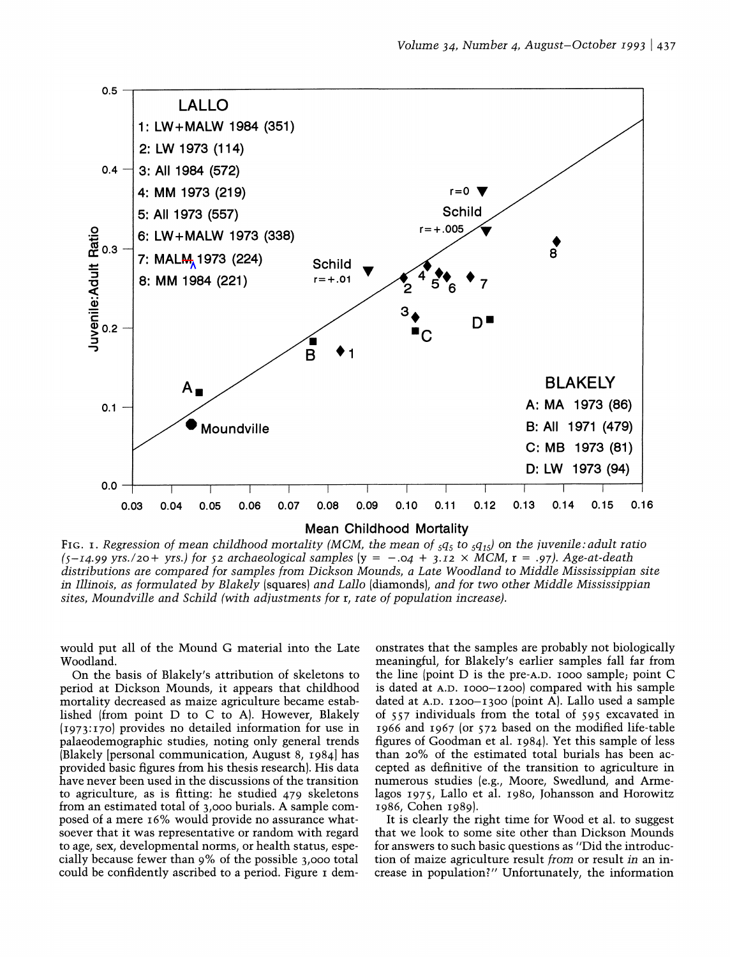

FIG. I. Regression of mean childhood mortality (MCM, the mean of  $_5q_5$  to  $_5q_{15}$ ) on the juvenile: adult ratio  $(s-14.99 \text{ yrs.} / 20 + \text{ yrs.})$  for  $s2$  archaeological samples  $(y = -.04 + 3.12 \times MCM, r = .97)$ . Age-at-death distributions are compared for samples from Dickson Mounds, a Late Woodland to Middle Mississippian site in Illinois, as formulated by Blakely (squares) and Lallo (diamonds), and for two other Middle Mississippian sites, Moundville and Schild (with adjustments for r, rate of population increase).

would put all of the Mound G material into the Late Woodland.

On the basis of Blakely's attribution of skeletons to period at Dickson Mounds, it appears that childhood mortality decreased as maize agriculture became established (from point D to C to A). However, Blakely (1973: 170) provides no detailed information for use in palaeodemographic studies, noting only general trends (Blakely [personal communication, August 8, 19841 has provided basic figures from his thesis research). His data have never been used in the discussions of the transition to agriculture, as is fitting: he studied 479 skeletons from an estimated total of 3,000 burials. A sample composed of a mere 16% would provide no assurance whatsoever that it was representative or random with regard to age, sex, developmental norms, or health status, especially because fewer than 9% of the possible 3,000 total could be confidently ascribed to a period. Figure I demonstrates that the samples are probably not biologically meaningful, for Blakely's earlier samples fall far from the line (point D is the pre-A.D. 1000 sample; point C is dated at A.D. 1000-1200) compared with his sample dated at A.D. 1200-1300 (point A). Lallo used a sample of 557 individuals from the total of 595 excavated in 1966 and 1967 (or 572 based on the modified life-table figures of Goodman et al. 1984). Yet this sample of less than 20% of the estimated total burials has been accepted as definitive of the transition to agriculture in numerous studies (e.g., Moore, Swedlund, and Armelagos 1975, Lallo et al. 1980, Johansson and Horowitz 1986, Cohen 1989).

It is clearly the right time for Wood et al. to suggest that we look to some site other than Dickson Mounds for answers to such basic questions as "Did the introduction of maize agriculture result from or result in an increase in population?" Unfortunately, the information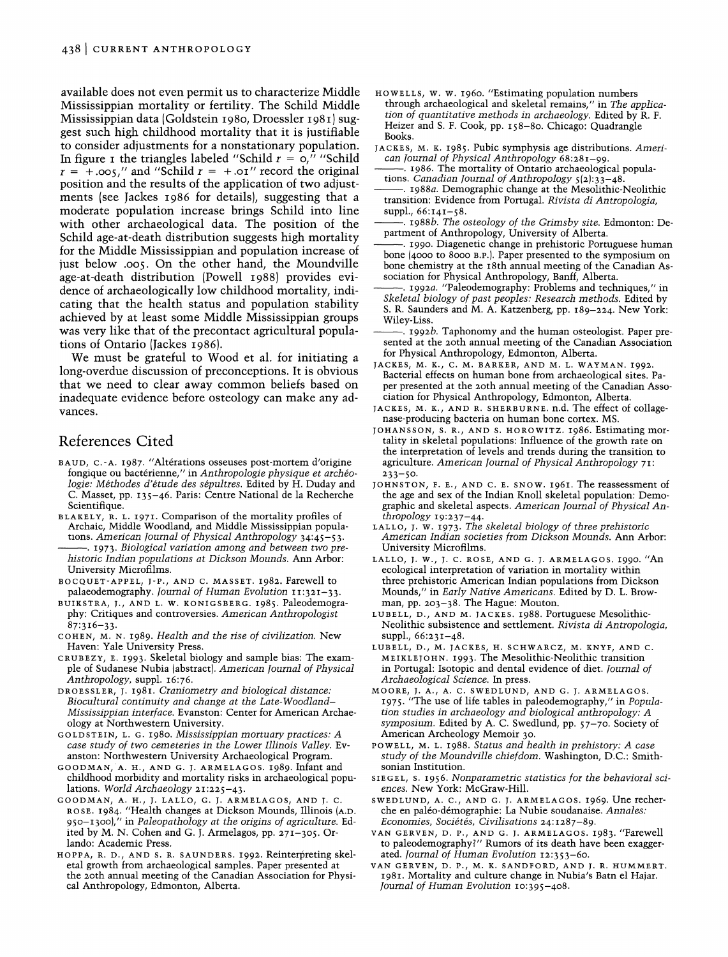available does not even permit us to characterize Middle Mississippian mortality or fertility. The Schild Middle Mississippian data (Goldstein 1980, Droessler 1981) suggest such high childhood mortality that it is justifiable to consider adjustments for a nonstationary population. In figure I the triangles labeled "Schild  $r = 0$ ," "Schild"  $r = +.005$ ," and "Schild  $r = +.01$ " record the original position and the results of the application of two adjustments (see Jackes 1986 for details), suggesting that a moderate population increase brings Schild into line with other archaeological data. The position of the Schild age-at-death distribution suggests high mortality for the Middle Mississippian and population increase of just below .005. On the other hand, the Moundville age-at-death distribution (Powell 1988) provides evidence of archaeologically low childhood mortality, indicating that the health status and population stability achieved by at least some Middle Mississippian groups was very like that of the precontact agricultural populations of Ontario (Jackes 1986).

We must be grateful to Wood et al. for initiating a long-overdue discussion of preconceptions. It is obvious that we need to clear away common beliefs based on inadequate evidence before osteology can make any advances.

#### References Cited

- BAUD, C.-A. 1987. "Altérations osseuses post-mortem d'origine fongique ou bactérienne," in Anthropologie physique et archéologie: Méthodes d'étude des sépultres. Edited by H. Duday and C. Masset, pp. 135-46. Paris: Centre National de la Recherche Scientifique.
- BLAKELY, R. L. 1971. Comparison of the mortality profiles of Archaic, Middle Woodland, and Middle Mississippian populations. American Journal of Physical Anthropology 34:45-53. -. 1973. Biological variation among and between two pre- University Microfilms.
- BOCQUET-APPEL, J-P., AND C. MASSET. 1982. Farewell to palaeodemography. Journal of Human Evolution  $11:321-33$ .
- BUIKSTRA, J., AND L. W. KONIGSBERG. 1985. Paleodemography: Critiques and controversies. American Anthropologist  $87:316-33.$
- COHEN, M. N. 1989. Health and the rise of civilization. New Haven: Yale University Press.
- CRUBEZY, E. 1993. Skeletal biology and sample bias: The example of Sudanese Nubia (abstract). American Journal of Physical Anthropology, suppl. 16:76.
- DROESSLER, J. 1981. Craniometry and biological distance: Biocultural continuity and change at the Late-Woodland-Mississippian interface. Evanston: Center for American Archaeology at Northwestern University.
- GO LDSTEIN, L. G. 1980. Mississippian mortuary practices: A case study of two cemeteries in the Lower Illinois Valley. Evanston: Northwestern University Archaeological Program.
- GOODMAN, A. H., AND G. J. ARMELAGOS. 1989. Infant and childhood morbidity and mortality risks in archaeological populations. World Archaeology 21:225-43.
- GOODMAN, A. H., J. LALLO, G. J. ARMELAGOS, AND J. C. ROSE. 1984 "Health changes at Dickson Mounds, Illinois (A.D. 950–1300)," in Paleopathology at the origins of agriculture. Edited by M. N. Cohen and G. J. Armelagos, pp. 271-305. Orlando: Academic Press.
- HOPPA, R. D., AND S. R. SAUNDERS. 1992. Reinterpreting skeletal growth from archaeological samples. Paper presented at the 20th annual meeting of the Canadian Association for Physical Anthropology, Edmonton, Alberta.
- HO WELLS, W. W. 1960. "Estimating population numbers through archaeological and skeletal remains," in The application of quantitative methods in archaeology. Edited by R. F. Heizer and S. F. Cook, pp. 158-80. Chicago: Quadrangle Books.
- JACKES, M. K. 1985. Pubic symphysis age distributions. American Journal of Physical Anthropology 68:281–99.<br>-- 1986. The mortality of Ontario archaeological popula-
- tions. Canadian Journal of Anthropology  $5(2):33-48$ .
- -. 1988a. Demographic change at the Mesolithic-Neolithic transition: Evidence from Portugal. Rivista di Antropologia, suppl., 66:141-58.
- -. 1988b. The osteology of the Grimsby site. Edmonton: Department of Anthropology, University of Alberta.
- 1990. Diagenetic change in prehistoric Portuguese human bone (4000 to 8000 B.P.). Paper presented to the symposium on bone chemistry at the 18th annual meeting of the Canadian Association for Physical Anthropology, Banff, Alberta.
- 1992a. "Paleodemography: Problems and techniques," in Skeletal biology of past peoples: Research methods. Edited by S. R. Saunders and M. A. Katzenberg, pp. 189-224. New York: Wiley-Liss.
- -. 19gzb. Taphonomy and the human osteologist. Paper presented at the 20th annual meeting of the Canadian Association for Physical Anthropology, Edmonton, Alberta.
- JACKES, M. K., C. M. BARKER, AND M. L. WAYMAN. 1992. Bacterial effects on human bone from archaeological sites. Paciation for Physical Anthropology, Edmonton, Alberta.
- JACKES, M. K., AND R. SHERBURNE. n.d. The effect of collagenase-producing bacteria on human bone cortex. MS.
- JOHANSSON, S. R., AND S. HOROWITZ. 1986. Estimating mortality in skeletal populations: Influence of the growth rate on the interpretation of levels and trends during the transition to agriculture. American Journal of Physical Anthropology 71: 233-50.
- JOHNSTON, F. E., AND C. E. SNOW. 1961. The reassessment of the age and sex of the Indian Knoll skeletal population: Demographic and skeletal aspects. American lournal of Physical Anthropology 19:237-44.
- LALLO, J. **W.**1973. The skeletal biology of three prehistoric American Indian societies from Dickson Mounds. Ann Arbor:
- LALLO, J. W., J. C. ROSE, AND G. J. ARMELAGOS. 1990. "An University Microfilms. ecological interpretation of variation in mortality within three prehistoric American Indian populations from Dickson Mounds," in Early Native Americans. Edited by D. L. Browman, pp, 203-38. The Hague: Mouton.
	- LUBELL, D., AND M. JACKES. 1988. Portuguese Mesolithic-Neolithic subsistence and settlement. Rivista di Antropologia, suppl., 66:231-48.
	- LUBELL, D., M. JACKES, H. SCHWARCZ, M. KNYF, AND C. MEIKLEJOHN. 1993. The Mesolithic-Neolithic transition in Portugal: Isotopic and dental evidence of diet. Journal of Archaeological Science. In press.
	- MOORE, J. A., A. C. SWEDLUND, AND G. J. ARMELAGOS. 1975. "The use of life tables in paleodemography," in Population studies in archaeology and biological anthropology: A symposium. Edited by A. C. Swedlund, pp. 57-70, Society of American Archeology Memoir 30.
	- POWELL, M. L. 1988. Status and health in prehistory: A case study of the Moundville chiefdom. Washington, D.C.: Smithsonian Institution.
	- SIE GEL, S. 1956 Nonparametric statistics for the behavioral sciences. New York: McGraw-Hill.
	- SWEDLUND, A. C., AND G. J. ARMELAGOS. 1969. Une recherche en paléo-démographie: La Nubie soudanaise. Annales: Economies, Sociétés, Civilisations 24:1287-89.
	- VAN GERVEN, D. P., AND G. J. ARMELAGOS. 1983 "Farewell to paleodemography?" Rumors of its death have been exaggerated. Journal of Human Evolution 12:353-60.
	- VAN GERVEN, D. P., M. K. SANDFORD, AND J. R. HUMMERT. 1981. Mortality and culture change in Nubia's Batn el Hajar. Iournal of Human Evolution 10:395-408.